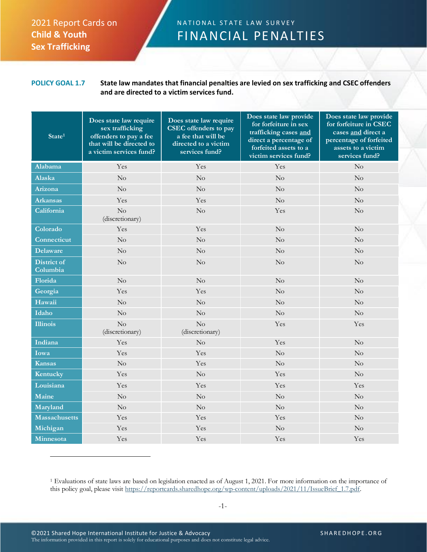## 2021 Report Cards on **Child & Youth Sex Trafficking**

## N A T I O N A L S T A T E L A W S U R V E Y FINANCIAL PENALTIES

## **POLICY GOAL 1.7 State law mandates that financial penalties are levied on sex trafficking and CSEC offenders and are directed to a victim services fund.**

| State <sup>1</sup>             | Does state law require<br>sex trafficking<br>offenders to pay a fee<br>that will be directed to<br>a victim services fund? | Does state law require<br>CSEC offenders to pay<br>a fee that will be<br>directed to a victim<br>services fund? | Does state law provide<br>for forfeiture in sex<br>trafficking cases and<br>direct a percentage of<br>forfeited assets to a<br>victim services fund? | Does state law provide<br>for forfeiture in CSEC<br>cases and direct a<br>percentage of forfeited<br>assets to a victim<br>services fund? |
|--------------------------------|----------------------------------------------------------------------------------------------------------------------------|-----------------------------------------------------------------------------------------------------------------|------------------------------------------------------------------------------------------------------------------------------------------------------|-------------------------------------------------------------------------------------------------------------------------------------------|
| Alabama                        | Yes                                                                                                                        | Yes                                                                                                             | Yes                                                                                                                                                  | $\rm No$                                                                                                                                  |
| Alaska                         | No                                                                                                                         | $\rm No$                                                                                                        | No                                                                                                                                                   | $\rm No$                                                                                                                                  |
| Arizona                        | $\rm No$                                                                                                                   | $\rm No$                                                                                                        | No                                                                                                                                                   | $\rm No$                                                                                                                                  |
| <b>Arkansas</b>                | Yes                                                                                                                        | Yes                                                                                                             | $\overline{N}$                                                                                                                                       | $\rm No$                                                                                                                                  |
| California                     | $\rm No$<br>(discretionary)                                                                                                | No                                                                                                              | Yes                                                                                                                                                  | No                                                                                                                                        |
| Colorado                       | Yes                                                                                                                        | Yes                                                                                                             | $\overline{\text{No}}$                                                                                                                               | $\rm No$                                                                                                                                  |
| Connecticut                    | No                                                                                                                         | No                                                                                                              | No                                                                                                                                                   | $\rm No$                                                                                                                                  |
| <b>Delaware</b>                | $\rm No$                                                                                                                   | $\rm No$                                                                                                        | No                                                                                                                                                   | $\rm No$                                                                                                                                  |
| <b>District of</b><br>Columbia | $\rm No$                                                                                                                   | No                                                                                                              | No                                                                                                                                                   | $\rm No$                                                                                                                                  |
| Florida                        | $\rm No$                                                                                                                   | $\rm No$                                                                                                        | $\overline{\text{No}}$                                                                                                                               | $\rm No$                                                                                                                                  |
| Georgia                        | Yes                                                                                                                        | Yes                                                                                                             | No                                                                                                                                                   | No                                                                                                                                        |
| Hawaii                         | No                                                                                                                         | $\rm No$                                                                                                        | No                                                                                                                                                   | $\rm No$                                                                                                                                  |
| Idaho                          | $\rm No$                                                                                                                   | $\rm No$                                                                                                        | $\rm No$                                                                                                                                             | $\rm No$                                                                                                                                  |
| <b>Illinois</b>                | $\rm No$<br>(discretionary)                                                                                                | $\rm No$<br>(discretionary)                                                                                     | Yes                                                                                                                                                  | Yes                                                                                                                                       |
| Indiana                        | Yes                                                                                                                        | No                                                                                                              | Yes                                                                                                                                                  | No                                                                                                                                        |
| Iowa                           | Yes                                                                                                                        | Yes                                                                                                             | $\overline{N}$                                                                                                                                       | $\rm No$                                                                                                                                  |
| <b>Kansas</b>                  | No                                                                                                                         | Yes                                                                                                             | No                                                                                                                                                   | $\rm No$                                                                                                                                  |
| Kentucky                       | Yes                                                                                                                        | $\rm No$                                                                                                        | Yes                                                                                                                                                  | $\rm No$                                                                                                                                  |
| Louisiana                      | Yes                                                                                                                        | Yes                                                                                                             | Yes                                                                                                                                                  | Yes                                                                                                                                       |
| Maine                          | $\rm No$                                                                                                                   | $\rm No$                                                                                                        | No                                                                                                                                                   | No                                                                                                                                        |
| Maryland                       | $\rm No$                                                                                                                   | $\rm No$                                                                                                        | $\overline{\text{No}}$                                                                                                                               | $\rm No$                                                                                                                                  |
| <b>Massachusetts</b>           | Yes                                                                                                                        | Yes                                                                                                             | Yes                                                                                                                                                  | $\rm No$                                                                                                                                  |
| Michigan                       | Yes                                                                                                                        | Yes                                                                                                             | $\rm No$                                                                                                                                             | $\rm No$                                                                                                                                  |
| Minnesota                      | Yes                                                                                                                        | Yes                                                                                                             | Yes                                                                                                                                                  | Yes                                                                                                                                       |

<sup>1</sup> Evaluations of state laws are based on legislation enacted as of August 1, 2021. For more information on the importance of this policy goal, please visit [https://reportcards.sharedhope.org/wp-content/uploads/2021/11/IssueBrief\\_1.7.pdf.](https://reportcards.sharedhope.org/wp-content/uploads/2021/11/IssueBrief_1.7.pdf)